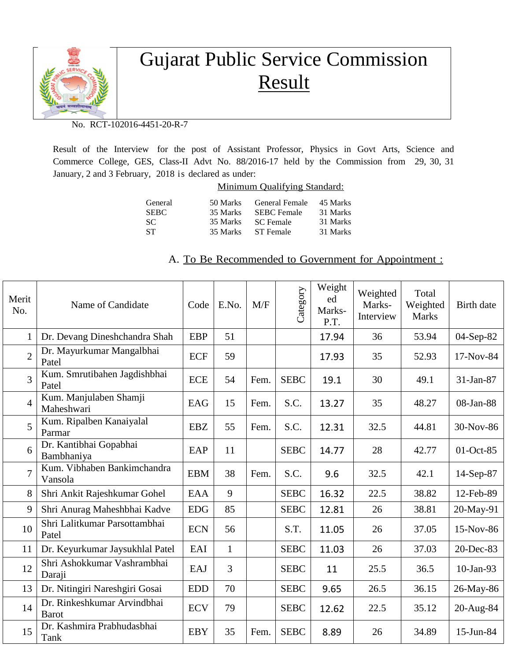

## Gujarat Public Service Commission Result

No. RCT-102016-4451-20-R-7

Result of the Interview for the post of Assistant Professor, Physics in Govt Arts, Science and Commerce College, GES, Class-II Advt No. 88/2016-17 held by the Commission from 29, 30, 31 January, 2 and 3 February, 2018 is declared as under:

| Minimum Qualifying Standard: |  |  |
|------------------------------|--|--|
|                              |  |  |

| General<br><b>SEBC</b> | 50 Marks<br>35 Marks | General Female<br><b>SEBC</b> Female | 45 Marks<br>31 Marks |
|------------------------|----------------------|--------------------------------------|----------------------|
| -SC.                   | 35 Marks             | <b>SC</b> Female                     | 31 Marks             |
| -ST                    | 35 Marks             | ST Female                            | 31 Marks             |

## A. To Be Recommended to Government for Appointment :

| Merit<br>No.   | Name of Candidate                           | Code       | E.No.        | M/F  | Category    | Weight<br>ed<br>Marks-<br>P.T. | Weighted<br>Marks-<br>Interview | Total<br>Weighted<br><b>Marks</b> | Birth date   |
|----------------|---------------------------------------------|------------|--------------|------|-------------|--------------------------------|---------------------------------|-----------------------------------|--------------|
| $\mathbf{1}$   | Dr. Devang Dineshchandra Shah               | <b>EBP</b> | 51           |      |             | 17.94                          | 36                              | 53.94                             | 04-Sep-82    |
| $\overline{2}$ | Dr. Mayurkumar Mangalbhai<br>Patel          | <b>ECF</b> | 59           |      |             | 17.93                          | 35                              | 52.93                             | 17-Nov-84    |
| 3              | Kum. Smrutibahen Jagdishbhai<br>Patel       | <b>ECE</b> | 54           | Fem. | <b>SEBC</b> | 19.1                           | 30                              | 49.1                              | 31-Jan-87    |
| $\overline{4}$ | Kum. Manjulaben Shamji<br>Maheshwari        | EAG        | 15           | Fem. | S.C.        | 13.27                          | 35                              | 48.27                             | 08-Jan-88    |
| 5              | Kum. Ripalben Kanaiyalal<br>Parmar          | <b>EBZ</b> | 55           | Fem. | S.C.        | 12.31                          | 32.5                            | 44.81                             | 30-Nov-86    |
| 6              | Dr. Kantibhai Gopabhai<br>Bambhaniya        | EAP        | 11           |      | <b>SEBC</b> | 14.77                          | 28                              | 42.77                             | 01-Oct-85    |
| $\overline{7}$ | Kum. Vibhaben Bankimchandra<br>Vansola      | <b>EBM</b> | 38           | Fem. | S.C.        | 9.6                            | 32.5                            | 42.1                              | 14-Sep-87    |
| 8              | Shri Ankit Rajeshkumar Gohel                | <b>EAA</b> | 9            |      | <b>SEBC</b> | 16.32                          | 22.5                            | 38.82                             | 12-Feb-89    |
| 9              | Shri Anurag Maheshbhai Kadve                | <b>EDG</b> | 85           |      | <b>SEBC</b> | 12.81                          | 26                              | 38.81                             | 20-May-91    |
| 10             | Shri Lalitkumar Parsottambhai<br>Patel      | <b>ECN</b> | 56           |      | S.T.        | 11.05                          | 26                              | 37.05                             | 15-Nov-86    |
| 11             | Dr. Keyurkumar Jaysukhlal Patel             | EAI        | $\mathbf{1}$ |      | <b>SEBC</b> | 11.03                          | 26                              | 37.03                             | 20-Dec-83    |
| 12             | Shri Ashokkumar Vashrambhai<br>Daraji       | EAJ        | 3            |      | <b>SEBC</b> | 11                             | 25.5                            | 36.5                              | $10$ -Jan-93 |
| 13             | Dr. Nitingiri Nareshgiri Gosai              | <b>EDD</b> | 70           |      | <b>SEBC</b> | 9.65                           | 26.5                            | 36.15                             | 26-May-86    |
| 14             | Dr. Rinkeshkumar Arvindbhai<br><b>Barot</b> | <b>ECV</b> | 79           |      | <b>SEBC</b> | 12.62                          | 22.5                            | 35.12                             | 20-Aug-84    |
| 15             | Dr. Kashmira Prabhudasbhai<br>Tank          | <b>EBY</b> | 35           | Fem. | <b>SEBC</b> | 8.89                           | 26                              | 34.89                             | 15-Jun-84    |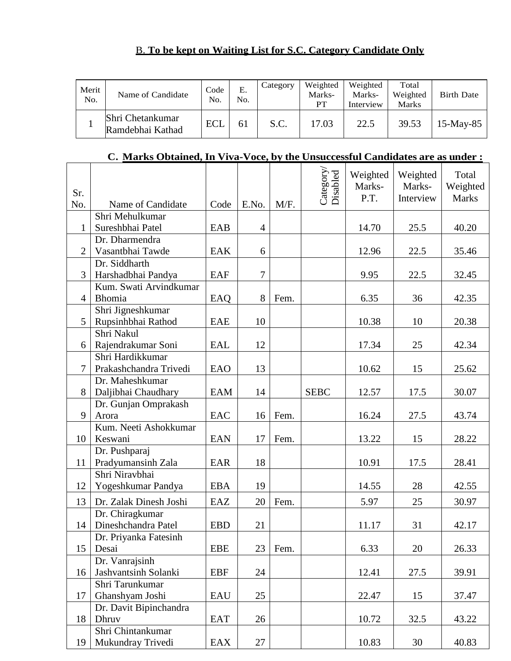## B. **To be kept on Waiting List for S.C. Category Candidate Only**

| Merit<br>No. | Name of Candidate                    | Code<br>No. | Е.<br>No. | Category | Weighted<br>Marks-<br>PТ | Weighted<br>Marks-<br>Interview | Total<br>Weighted<br><b>Marks</b> | <b>Birth Date</b> |
|--------------|--------------------------------------|-------------|-----------|----------|--------------------------|---------------------------------|-----------------------------------|-------------------|
|              | Shri Chetankumar<br>Ramdebhai Kathad | <b>ECL</b>  | 61        | S.C.     | 17.03                    | 22.5                            | 39.53                             | $15$ -May-85      |

## **C. Marks Obtained, In Viva-Voce, by the Unsuccessful Candidates are as under :**

| Sr.<br>No.     | Name of Candidate                      | Code       | E.No.          | M/F. | Category/<br>Disabled | Weighted<br>Marks-<br>P.T. | Weighted<br>Marks-<br>Interview | Total<br>Weighted<br><b>Marks</b> |
|----------------|----------------------------------------|------------|----------------|------|-----------------------|----------------------------|---------------------------------|-----------------------------------|
|                | Shri Mehulkumar                        |            |                |      |                       |                            |                                 |                                   |
| $\mathbf{1}$   | Sureshbhai Patel                       | EAB        | $\overline{4}$ |      |                       | 14.70                      | 25.5                            | 40.20                             |
|                | Dr. Dharmendra                         |            |                |      |                       |                            |                                 |                                   |
| $\overline{2}$ | Vasantbhai Tawde                       | <b>EAK</b> | 6              |      |                       | 12.96                      | 22.5                            | 35.46                             |
|                | Dr. Siddharth                          |            |                |      |                       |                            |                                 |                                   |
| 3              | Harshadbhai Pandya                     | EAF        | 7              |      |                       | 9.95                       | 22.5                            | 32.45                             |
|                | Kum. Swati Arvindkumar                 |            |                |      |                       |                            |                                 |                                   |
| $\overline{4}$ | Bhomia                                 | EAQ        | 8              | Fem. |                       | 6.35                       | 36                              | 42.35                             |
|                | Shri Jigneshkumar                      |            |                |      |                       |                            |                                 |                                   |
| 5              | Rupsinhbhai Rathod                     | EAE        | 10             |      |                       | 10.38                      | 10                              | 20.38                             |
|                | Shri Nakul                             |            |                |      |                       |                            |                                 |                                   |
| 6              | Rajendrakumar Soni                     | <b>EAL</b> | 12             |      |                       | 17.34                      | 25                              | 42.34                             |
|                | Shri Hardikkumar                       |            |                |      |                       |                            |                                 |                                   |
| $\overline{7}$ | Prakashchandra Trivedi                 | EAO        | 13             |      |                       | 10.62                      | 15                              | 25.62                             |
|                | Dr. Maheshkumar                        |            |                |      |                       |                            |                                 |                                   |
| 8              | Daljibhai Chaudhary                    | <b>EAM</b> | 14             |      | <b>SEBC</b>           | 12.57                      | 17.5                            | 30.07                             |
|                | Dr. Gunjan Omprakash                   |            |                |      |                       |                            |                                 |                                   |
| 9              | Arora                                  | EAC        | 16             | Fem. |                       | 16.24                      | 27.5                            | 43.74                             |
|                | Kum. Neeti Ashokkumar<br>Keswani       |            |                |      |                       |                            |                                 |                                   |
| 10             |                                        | <b>EAN</b> | 17             | Fem. |                       | 13.22                      | 15                              | 28.22                             |
| 11             | Dr. Pushparaj                          | EAR        | 18             |      |                       | 10.91                      | 17.5                            | 28.41                             |
|                | Pradyumansinh Zala<br>Shri Niravbhai   |            |                |      |                       |                            |                                 |                                   |
| 12             | Yogeshkumar Pandya                     | <b>EBA</b> | 19             |      |                       | 14.55                      | 28                              | 42.55                             |
|                |                                        |            |                |      |                       |                            |                                 |                                   |
| 13             | Dr. Zalak Dinesh Joshi                 | EAZ        | 20             | Fem. |                       | 5.97                       | 25                              | 30.97                             |
|                | Dr. Chiragkumar                        |            |                |      |                       |                            |                                 |                                   |
| 14             | Dineshchandra Patel                    | <b>EBD</b> | 21             |      |                       | 11.17                      | 31                              | 42.17                             |
|                | Dr. Priyanka Fatesinh                  |            |                |      |                       |                            |                                 |                                   |
| 15             | Desai                                  | <b>EBE</b> | 23             | Fem. |                       | 6.33                       | 20                              | 26.33                             |
|                | Dr. Vanrajsinh                         |            |                |      |                       |                            |                                 |                                   |
| 16             | Jashvantsinh Solanki                   | <b>EBF</b> | 24             |      |                       | 12.41                      | 27.5                            | 39.91                             |
|                | Shri Tarunkumar                        |            |                |      |                       |                            |                                 |                                   |
| 17             | Ghanshyam Joshi                        | EAU        | 25             |      |                       | 22.47                      | 15                              | 37.47                             |
|                | Dr. Davit Bipinchandra                 |            |                |      |                       |                            |                                 |                                   |
| 18             | Dhruv                                  | <b>EAT</b> | 26             |      |                       | 10.72                      | 32.5                            | 43.22                             |
| 19             | Shri Chintankumar<br>Mukundray Trivedi | EAX        | 27             |      |                       | 10.83                      | 30                              | 40.83                             |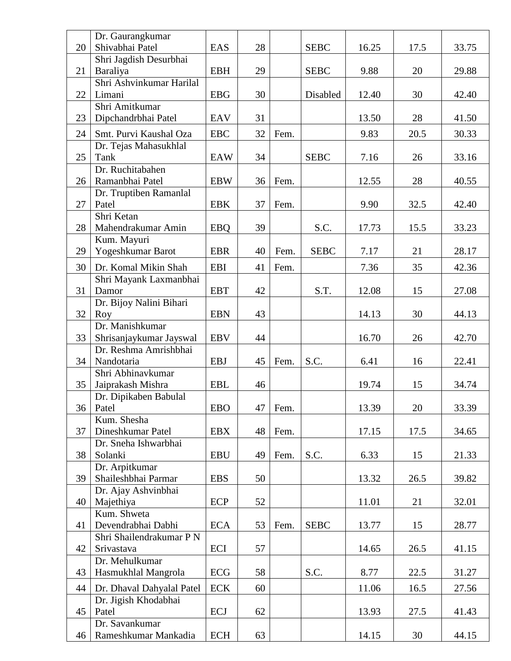|    | Dr. Gaurangkumar          |            |    |      |             |       |      |       |
|----|---------------------------|------------|----|------|-------------|-------|------|-------|
| 20 | Shivabhai Patel           | EAS        | 28 |      | <b>SEBC</b> | 16.25 | 17.5 | 33.75 |
|    | Shri Jagdish Desurbhai    |            |    |      |             |       |      |       |
| 21 | Baraliya                  | <b>EBH</b> | 29 |      | <b>SEBC</b> | 9.88  | 20   | 29.88 |
|    | Shri Ashvinkumar Harilal  |            |    |      |             |       |      |       |
| 22 | Limani                    | <b>EBG</b> | 30 |      | Disabled    | 12.40 | 30   | 42.40 |
|    | Shri Amitkumar            |            |    |      |             |       |      |       |
| 23 | Dipchandrbhai Patel       | EAV        | 31 |      |             | 13.50 | 28   | 41.50 |
| 24 | Smt. Purvi Kaushal Oza    | <b>EBC</b> | 32 | Fem. |             | 9.83  | 20.5 | 30.33 |
|    | Dr. Tejas Mahasukhlal     |            |    |      |             |       |      |       |
| 25 | Tank                      | <b>EAW</b> | 34 |      | <b>SEBC</b> | 7.16  | 26   | 33.16 |
|    | Dr. Ruchitabahen          |            |    |      |             |       |      |       |
| 26 | Ramanbhai Patel           | <b>EBW</b> | 36 | Fem. |             | 12.55 | 28   | 40.55 |
|    | Dr. Truptiben Ramanlal    |            |    |      |             |       |      |       |
| 27 | Patel                     | <b>EBK</b> | 37 | Fem. |             | 9.90  | 32.5 | 42.40 |
|    | Shri Ketan                |            |    |      |             |       |      |       |
| 28 | Mahendrakumar Amin        | <b>EBQ</b> | 39 |      | S.C.        | 17.73 | 15.5 | 33.23 |
|    | Kum. Mayuri               |            |    |      |             |       |      |       |
| 29 | Yogeshkumar Barot         | <b>EBR</b> | 40 | Fem. | <b>SEBC</b> | 7.17  | 21   | 28.17 |
| 30 | Dr. Komal Mikin Shah      | <b>EBI</b> | 41 | Fem. |             | 7.36  | 35   | 42.36 |
|    | Shri Mayank Laxmanbhai    |            |    |      |             |       |      |       |
| 31 | Damor                     | <b>EBT</b> | 42 |      | S.T.        | 12.08 | 15   | 27.08 |
|    | Dr. Bijoy Nalini Bihari   |            |    |      |             |       |      |       |
| 32 | Roy                       | <b>EBN</b> | 43 |      |             | 14.13 | 30   | 44.13 |
|    | Dr. Manishkumar           |            |    |      |             |       |      |       |
| 33 | Shrisanjaykumar Jayswal   | <b>EBV</b> | 44 |      |             | 16.70 | 26   | 42.70 |
|    | Dr. Reshma Amrishbhai     |            |    |      |             |       |      |       |
| 34 | Nandotaria                | <b>EBJ</b> | 45 | Fem. | S.C.        | 6.41  | 16   | 22.41 |
|    | Shri Abhinavkumar         |            |    |      |             |       |      |       |
| 35 | Jaiprakash Mishra         | <b>EBL</b> | 46 |      |             | 19.74 | 15   | 34.74 |
|    | Dr. Dipikaben Babulal     |            |    |      |             |       |      |       |
| 36 | Patel                     | <b>EBO</b> | 47 | Fem. |             | 13.39 | 20   | 33.39 |
|    | Kum. Shesha               |            |    |      |             |       |      |       |
| 37 | Dineshkumar Patel         | <b>EBX</b> | 48 | Fem. |             | 17.15 | 17.5 | 34.65 |
|    | Dr. Sneha Ishwarbhai      |            |    |      |             |       |      |       |
| 38 | Solanki                   | <b>EBU</b> | 49 | Fem. | S.C.        | 6.33  | 15   | 21.33 |
|    | Dr. Arpitkumar            |            |    |      |             |       |      |       |
| 39 | Shaileshbhai Parmar       | <b>EBS</b> | 50 |      |             | 13.32 | 26.5 | 39.82 |
|    | Dr. Ajay Ashvinbhai       |            |    |      |             |       |      |       |
| 40 | Majethiya                 | ECP        | 52 |      |             | 11.01 | 21   | 32.01 |
|    | Kum. Shweta               |            |    |      |             |       |      |       |
| 41 | Devendrabhai Dabhi        | <b>ECA</b> | 53 | Fem. | <b>SEBC</b> | 13.77 | 15   | 28.77 |
|    | Shri Shailendrakumar P N  |            |    |      |             |       |      |       |
| 42 | Srivastava                | ECI        | 57 |      |             | 14.65 | 26.5 | 41.15 |
|    | Dr. Mehulkumar            |            |    |      |             |       |      |       |
| 43 | Hasmukhlal Mangrola       | ECG        | 58 |      | S.C.        | 8.77  | 22.5 | 31.27 |
| 44 | Dr. Dhaval Dahyalal Patel | <b>ECK</b> | 60 |      |             | 11.06 | 16.5 | 27.56 |
|    | Dr. Jigish Khodabhai      |            |    |      |             |       |      |       |
| 45 | Patel                     | ECJ        | 62 |      |             | 13.93 | 27.5 | 41.43 |
|    | Dr. Savankumar            |            |    |      |             |       |      |       |
| 46 | Rameshkumar Mankadia      | <b>ECH</b> | 63 |      |             | 14.15 | 30   | 44.15 |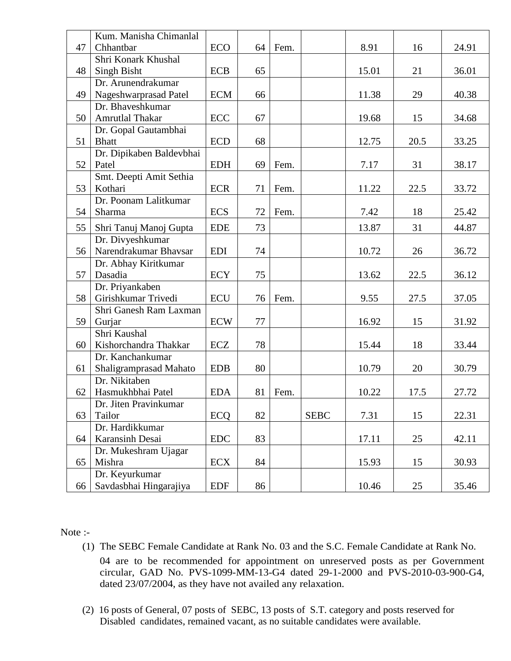|    | Kum. Manisha Chimanlal   |            |    |      |             |       |      |       |
|----|--------------------------|------------|----|------|-------------|-------|------|-------|
| 47 | Chhantbar                | <b>ECO</b> | 64 | Fem. |             | 8.91  | 16   | 24.91 |
|    | Shri Konark Khushal      |            |    |      |             |       |      |       |
| 48 | <b>Singh Bisht</b>       | <b>ECB</b> | 65 |      |             | 15.01 | 21   | 36.01 |
|    | Dr. Arunendrakumar       |            |    |      |             |       |      |       |
| 49 | Nageshwarprasad Patel    | <b>ECM</b> | 66 |      |             | 11.38 | 29   | 40.38 |
|    | Dr. Bhaveshkumar         |            |    |      |             |       |      |       |
| 50 | Amrutlal Thakar          | ECC        | 67 |      |             | 19.68 | 15   | 34.68 |
|    | Dr. Gopal Gautambhai     |            |    |      |             |       |      |       |
| 51 | <b>Bhatt</b>             | <b>ECD</b> | 68 |      |             | 12.75 | 20.5 | 33.25 |
|    | Dr. Dipikaben Baldevbhai |            |    |      |             |       |      |       |
| 52 | Patel                    | <b>EDH</b> | 69 | Fem. |             | 7.17  | 31   | 38.17 |
|    | Smt. Deepti Amit Sethia  |            |    |      |             |       |      |       |
| 53 | Kothari                  | <b>ECR</b> | 71 | Fem. |             | 11.22 | 22.5 | 33.72 |
|    | Dr. Poonam Lalitkumar    |            |    |      |             |       |      |       |
| 54 | Sharma                   | <b>ECS</b> | 72 | Fem. |             | 7.42  | 18   | 25.42 |
| 55 | Shri Tanuj Manoj Gupta   | <b>EDE</b> | 73 |      |             | 13.87 | 31   | 44.87 |
|    | Dr. Divyeshkumar         |            |    |      |             |       |      |       |
| 56 | Narendrakumar Bhavsar    | <b>EDI</b> | 74 |      |             | 10.72 | 26   | 36.72 |
|    | Dr. Abhay Kiritkumar     |            |    |      |             |       |      |       |
| 57 | Dasadia                  | <b>ECY</b> | 75 |      |             | 13.62 | 22.5 | 36.12 |
|    | Dr. Priyankaben          |            |    |      |             |       |      |       |
| 58 | Girishkumar Trivedi      | <b>ECU</b> | 76 | Fem. |             | 9.55  | 27.5 | 37.05 |
|    | Shri Ganesh Ram Laxman   |            |    |      |             |       |      |       |
| 59 | Gurjar                   | <b>ECW</b> | 77 |      |             | 16.92 | 15   | 31.92 |
|    | Shri Kaushal             |            |    |      |             |       |      |       |
| 60 | Kishorchandra Thakkar    | <b>ECZ</b> | 78 |      |             | 15.44 | 18   | 33.44 |
|    | Dr. Kanchankumar         |            |    |      |             |       |      |       |
| 61 | Shaligramprasad Mahato   | <b>EDB</b> | 80 |      |             | 10.79 | 20   | 30.79 |
|    | Dr. Nikitaben            |            |    |      |             |       |      |       |
| 62 | Hasmukhbhai Patel        | <b>EDA</b> | 81 | Fem. |             | 10.22 | 17.5 | 27.72 |
|    | Dr. Jiten Pravinkumar    |            |    |      |             |       |      |       |
| 63 | Tailor                   | <b>ECQ</b> | 82 |      | <b>SEBC</b> | 7.31  | 15   | 22.31 |
|    | Dr. Hardikkumar          |            |    |      |             |       |      |       |
| 64 | Karansinh Desai          | <b>EDC</b> | 83 |      |             | 17.11 | 25   | 42.11 |
|    | Dr. Mukeshram Ujagar     |            |    |      |             |       |      |       |
| 65 | Mishra                   | <b>ECX</b> | 84 |      |             | 15.93 | 15   | 30.93 |
|    | Dr. Keyurkumar           |            |    |      |             |       |      |       |
| 66 | Savdasbhai Hingarajiya   | <b>EDF</b> | 86 |      |             | 10.46 | 25   | 35.46 |

Note :-

(1) The SEBC Female Candidate at Rank No. 03 and the S.C. Female Candidate at Rank No.

04 are to be recommended for appointment on unreserved posts as per Government circular, GAD No. PVS-1099-MM-13-G4 dated 29-1-2000 and PVS-2010-03-900-G4, dated 23/07/2004, as they have not availed any relaxation.

(2) 16 posts of General, 07 posts of SEBC, 13 posts of S.T. category and posts reserved for Disabled candidates, remained vacant, as no suitable candidates were available.